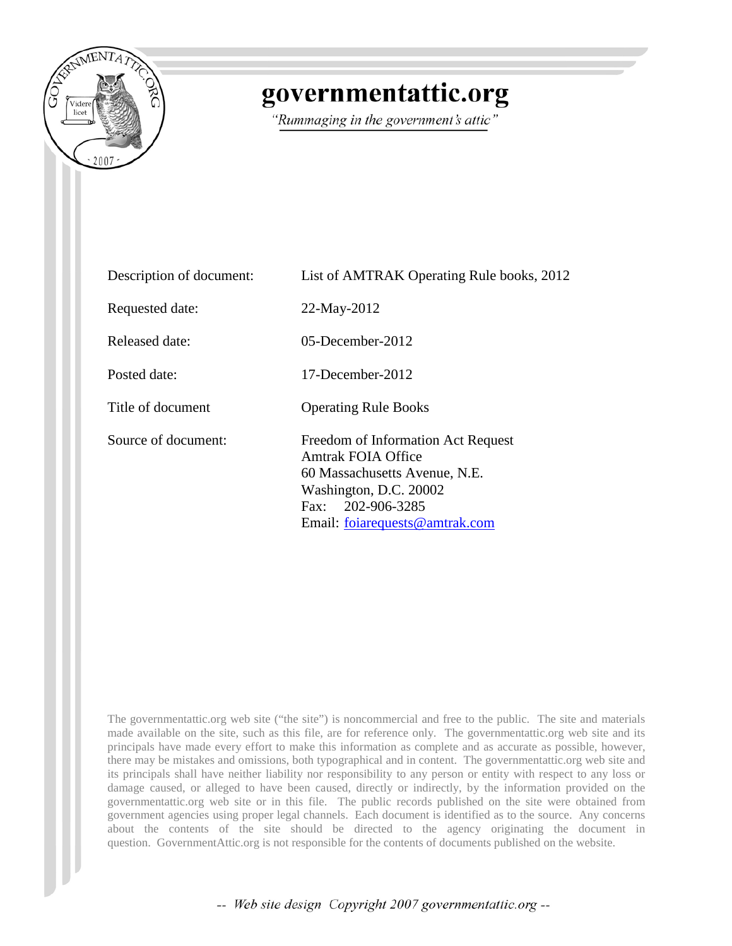

# governmentattic.org

"Rummaging in the government's attic"

| Description of document: | List of AMTRAK Operating Rule books, 2012                                                                                                                                  |  |
|--------------------------|----------------------------------------------------------------------------------------------------------------------------------------------------------------------------|--|
| Requested date:          | 22-May-2012                                                                                                                                                                |  |
| Released date:           | $05$ -December-2012                                                                                                                                                        |  |
| Posted date:             | 17-December-2012                                                                                                                                                           |  |
| Title of document        | <b>Operating Rule Books</b>                                                                                                                                                |  |
| Source of document:      | Freedom of Information Act Request<br>Amtrak FOIA Office<br>60 Massachusetts Avenue, N.E.<br>Washington, D.C. 20002<br>Fax: 202-906-3285<br>Email: foiarequests@amtrak.com |  |

The governmentattic.org web site ("the site") is noncommercial and free to the public. The site and materials made available on the site, such as this file, are for reference only. The governmentattic.org web site and its principals have made every effort to make this information as complete and as accurate as possible, however, there may be mistakes and omissions, both typographical and in content. The governmentattic.org web site and its principals shall have neither liability nor responsibility to any person or entity with respect to any loss or damage caused, or alleged to have been caused, directly or indirectly, by the information provided on the governmentattic.org web site or in this file. The public records published on the site were obtained from government agencies using proper legal channels. Each document is identified as to the source. Any concerns about the contents of the site should be directed to the agency originating the document in question. GovernmentAttic.org is not responsible for the contents of documents published on the website.

-- Web site design Copyright 2007 governmentattic.org --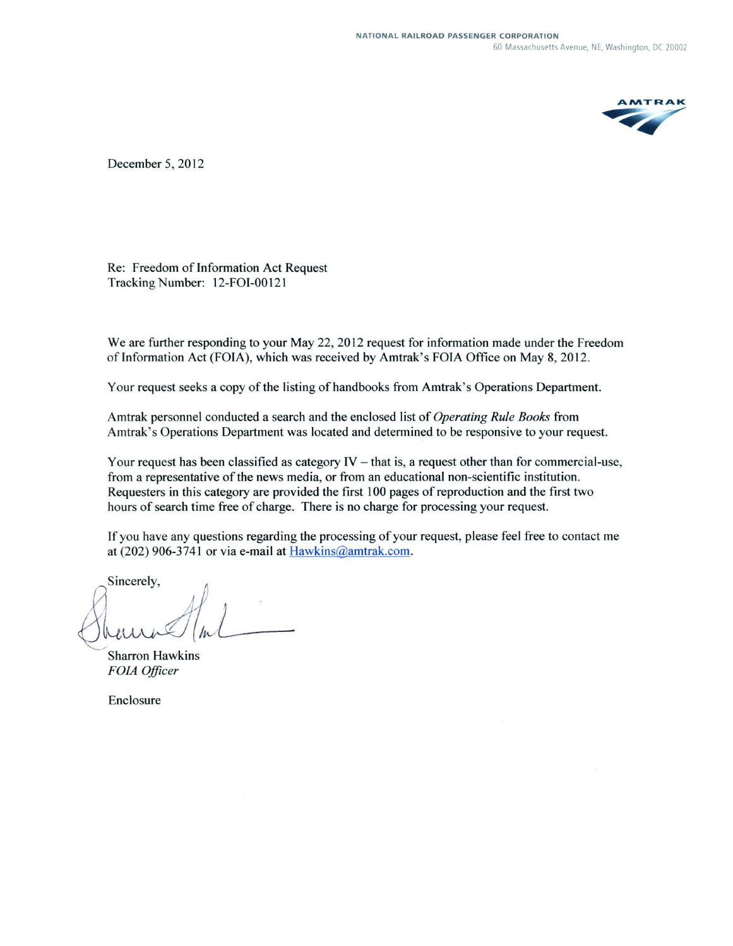

December 5, 2012

Re: Freedom of Information Act Request Tracking Number: 12-FOI-00121

We are further responding to your May 22, 2012 request for information made under the Freedom of Information Act (FOIA), which was received by Amtrak's FOIA Office on May 8, 2012.

Your request seeks a copy of the listing of handbooks from Amtrak's Operations Department.

Amtrak personnel conducted a search and the enclosed list of *Operating Rule Books* from Amtrak's Operations Department was located and determined to be responsive to your request.

Your request has been classified as category  $IV -$  that is, a request other than for commercial-use, from a representative of the news media, or from an educational non-scientific institution. Requesters in this category are provided the first 100 pages of reproduction and the first two hours of search time free of charge. There is no charge for processing your request.

If you have any questions regarding the processing of your request, please feel free to contact me at (202) 906-3741 or via e-mail at Hawkins@amtrak.com.

If you have any questions regarding<br>at (202) 906-3741 or via e-mail at  $\underline{B}$ <br>Sincerely,<br>Sharron Hawkins<br>FOIA Officer

*FOIA Officer* 

Enclosure